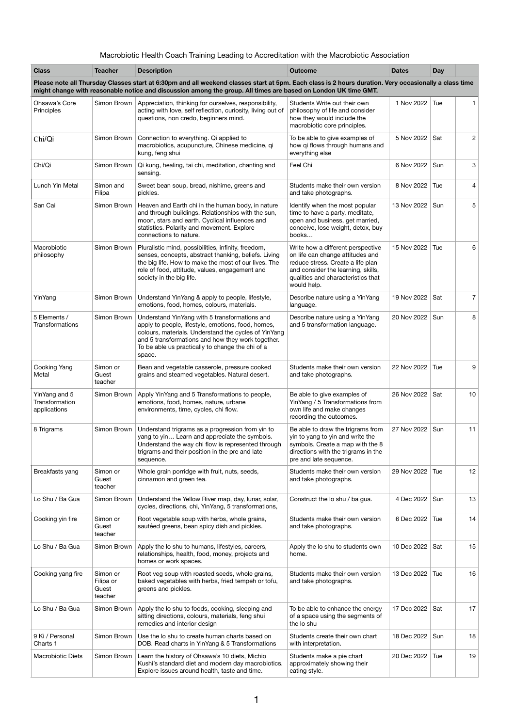## Macrobiotic Health Coach Training Leading to Accreditation with the Macrobiotic Association

| <b>Class</b>                                    | <b>Teacher</b>               | <b>Description</b>                                                                                                                                                                                                                                                             | <b>Outcome</b>                                                                                                                                                                                        | <b>Dates</b>      | <b>Day</b> |                |
|-------------------------------------------------|------------------------------|--------------------------------------------------------------------------------------------------------------------------------------------------------------------------------------------------------------------------------------------------------------------------------|-------------------------------------------------------------------------------------------------------------------------------------------------------------------------------------------------------|-------------------|------------|----------------|
|                                                 |                              | Please note all Thursday Classes start at 6:30pm and all weekend classes start at 5pm. Each class is 2 hours duration. Very occasionally a class time<br>might change with reasonable notice and discussion among the group. All times are based on London UK time GMT.        |                                                                                                                                                                                                       |                   |            |                |
| Ohsawa's Core<br>Principles                     | Simon Brown                  | Appreciation, thinking for ourselves, responsibility,<br>acting with love, self reflection, curiosity, living out of<br>questions, non credo, beginners mind.                                                                                                                  | Students Write out their own<br>philosophy of life and consider<br>how they would include the<br>macrobiotic core principles.                                                                         | 1 Nov 2022        | Tue        | 1.             |
| Chi/Qi                                          | Simon Brown                  | Connection to everything. Qi applied to<br>macrobiotics, acupuncture, Chinese medicine, qi<br>kung, feng shui                                                                                                                                                                  | To be able to give examples of<br>how qi flows through humans and<br>everything else                                                                                                                  | 5 Nov 2022        | Sat        | $\overline{c}$ |
| Chi/Qi                                          | Simon Brown                  | Qi kung, healing, tai chi, meditation, chanting and<br>sensing.                                                                                                                                                                                                                | Feel Chi                                                                                                                                                                                              | 6 Nov 2022        | Sun        | 3              |
| Lunch Yin Metal                                 | Simon and<br>Filipa          | Sweet bean soup, bread, nishime, greens and<br>pickles.                                                                                                                                                                                                                        | Students make their own version<br>and take photographs.                                                                                                                                              | 8 Nov 2022        | Tue        | 4              |
| San Cai                                         | Simon Brown                  | Heaven and Earth chi in the human body, in nature<br>and through buildings. Relationships with the sun,<br>moon, stars and earth. Cyclical influences and<br>statistics. Polarity and movement. Explore<br>connections to nature.                                              | Identify when the most popular<br>time to have a party, meditate,<br>open and business, get married,<br>conceive, lose weight, detox, buy<br>books                                                    | 13 Nov 2022       | Sun        | 5              |
| Macrobiotic<br>philosophy                       | Simon Brown                  | Pluralistic mind, possibilities, infinity, freedom,<br>senses, concepts, abstract thanking, beliefs. Living<br>the big life. How to make the most of our lives. The<br>role of food, attitude, values, engagement and<br>society in the big life.                              | Write how a different perspective<br>on life can change attitudes and<br>reduce stress. Create a life plan<br>and consider the learning, skills,<br>qualities and characteristics that<br>would help. | 15 Nov 2022       | Tue        | 6              |
| YinYang                                         | Simon Brown                  | Understand YinYang & apply to people, lifestyle,<br>emotions, food, homes, colours, materials.                                                                                                                                                                                 | Describe nature using a YinYang<br>language.                                                                                                                                                          | 19 Nov 2022       | Sat        | $\overline{7}$ |
| 5 Elements /<br>Transformations                 | Simon Brown                  | Understand YinYang with 5 transformations and<br>apply to people, lifestyle, emotions, food, homes,<br>colours, materials. Understand the cycles of YinYang<br>and 5 transformations and how they work together.<br>To be able us practically to change the chi of a<br>space. | Describe nature using a YinYang<br>and 5 transformation language.                                                                                                                                     | 20 Nov 2022       | Sun        | 8              |
| Cooking Yang<br>Metal                           | Simon or<br>Guest<br>teacher | Bean and vegetable casserole, pressure cooked<br>grains and steamed vegetables. Natural desert.                                                                                                                                                                                | Students make their own version<br>and take photographs.                                                                                                                                              | 22 Nov 2022       | Tue        | 9              |
| YinYang and 5<br>Transformation<br>applications | Simon Brown                  | Apply YinYang and 5 Transformations to people,<br>emotions, food, homes, nature, urbane<br>environments, time, cycles, chi flow.                                                                                                                                               | Be able to give examples of<br>YinYang / 5 Transformations from<br>own life and make changes<br>recording the outcomes.                                                                               | 26 Nov 2022       | Sat        | 10             |
| 8 Trigrams                                      | Simon Brown                  | Understand trigrams as a progression from yin to<br>yang to yin Learn and appreciate the symbols.<br>Understand the way chi flow is represented through<br>trigrams and their position in the pre and late<br>sequence.                                                        | Be able to draw the trigrams from<br>yin to yang to yin and write the<br>symbols. Create a map with the 8<br>directions with the trigrams in the<br>pre and late sequence.                            | 27 Nov 2022       | Sun        | 11             |
| Breakfasts yang                                 | Simon or<br>Guest<br>teacher | Whole grain porridge with fruit, nuts, seeds,<br>cinnamon and green tea.                                                                                                                                                                                                       | Students make their own version<br>and take photographs.                                                                                                                                              | 29 Nov 2022       | Tue        | 12             |
| Lo Shu / Ba Gua                                 | Simon Brown                  | Understand the Yellow River map, day, lunar, solar,<br>cycles, directions, chi, YinYang, 5 transformations,                                                                                                                                                                    | Construct the lo shu / ba gua.                                                                                                                                                                        | 4 Dec 2022        | Sun        | 13             |
| Cooking yin fire                                | Simon or<br>Guest<br>teacher | Root vegetable soup with herbs, whole grains,<br>sautéed greens, bean spicy dish and pickles.                                                                                                                                                                                  | Students make their own version<br>and take photographs.                                                                                                                                              | 6 Dec 2022        | Tue        | 14             |
| Lo Shu / Ba Gua                                 |                              | Simon Brown   Apply the lo shu to humans, lifestyles, careers,                                                                                                                                                                                                                 | Apply the lo shu to students own                                                                                                                                                                      | 10 Dec 2022   Sat |            | 15             |

|                             |                                           | relationships, health, food, money, projects and<br>homes or work spaces.                                                                             | home.                                                                              |                   |     |    |
|-----------------------------|-------------------------------------------|-------------------------------------------------------------------------------------------------------------------------------------------------------|------------------------------------------------------------------------------------|-------------------|-----|----|
| Cooking yang fire           | Simon or<br>Filipa or<br>Guest<br>teacher | Root veg soup with roasted seeds, whole grains,<br>baked vegetables with herbs, fried tempeh or tofu,<br>greens and pickles.                          | Students make their own version<br>and take photographs.                           | 13 Dec 2022   Tue |     | 16 |
| Lo Shu / Ba Gua             | Simon Brown                               | Apply the lo shu to foods, cooking, sleeping and<br>sitting directions, colours, materials, feng shui<br>remedies and interior design                 | To be able to enhance the energy<br>of a space using the segments of<br>the lo shu | 17 Dec 2022   Sat |     | 17 |
| 9 Ki / Personal<br>Charts 1 | Simon Brown                               | Use the lo shu to create human charts based on<br>DOB. Read charts in YinYang & 5 Transformations                                                     | Students create their own chart<br>with interpretation.                            | 18 Dec 2022       | Sun | 18 |
| Macrobiotic Diets           | Simon Brown                               | Learn the history of Ohsawa's 10 diets, Michio<br>Kushi's standard diet and modern day macrobiotics.<br>Explore issues around health, taste and time. | Students make a pie chart<br>approximately showing their<br>eating style.          | 20 Dec 2022       | Tue | 19 |

1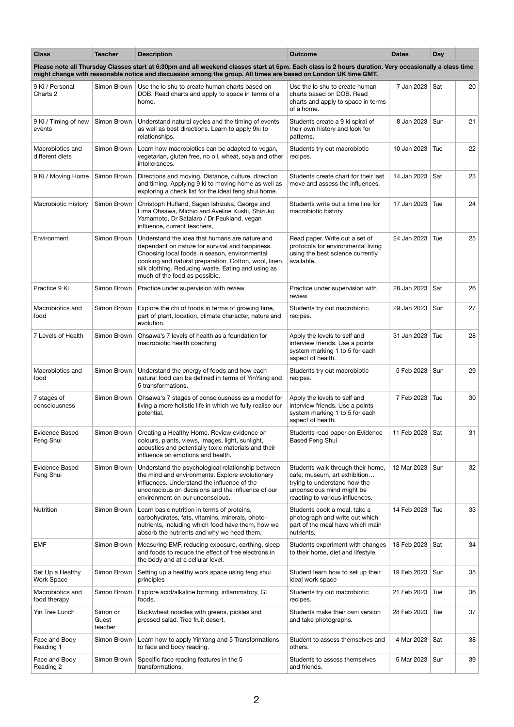| <b>Class</b>                          | <b>Teacher</b>               | <b>Description</b>                                                                                                                                                                                                                                                                                 | <b>Outcome</b>                                                                                                                                                    | <b>Dates</b> | <b>Day</b> |    |
|---------------------------------------|------------------------------|----------------------------------------------------------------------------------------------------------------------------------------------------------------------------------------------------------------------------------------------------------------------------------------------------|-------------------------------------------------------------------------------------------------------------------------------------------------------------------|--------------|------------|----|
|                                       |                              | Please note all Thursday Classes start at 6:30pm and all weekend classes start at 5pm. Each class is 2 hours duration. Very occasionally a class time<br>might change with reasonable notice and discussion among the group. All times are based on London UK time GMT.                            |                                                                                                                                                                   |              |            |    |
| 9 Ki / Personal<br>Charts 2           | Simon Brown                  | Use the lo shu to create human charts based on<br>DOB. Read charts and apply to space in terms of a<br>home.                                                                                                                                                                                       | Use the lo shu to create human<br>charts based on DOB. Read<br>charts and apply to space in terms<br>of a home.                                                   | 7 Jan 2023   | Sat        | 20 |
| 9 Ki / Timing of new<br>events        | Simon Brown                  | Understand natural cycles and the timing of events<br>as well as best directions. Learn to apply 9ki to<br>relationships.                                                                                                                                                                          | Students create a 9 ki spiral of<br>their own history and look for<br>patterns.                                                                                   | 8 Jan 2023   | Sun        | 21 |
| Macrobiotics and<br>different diets   | Simon Brown                  | Learn how macrobiotics can be adapted to vegan,<br>vegetarian, gluten free, no oil, wheat, soya and other<br>intollerances.                                                                                                                                                                        | Students try out macrobiotic<br>recipes.                                                                                                                          | 10 Jan 2023  | Tue        | 22 |
| 9 Ki / Moving Home                    | Simon Brown                  | Directions and moving. Distance, culture, direction<br>and timing. Applying 9 ki to moving home as well as<br>exploring a check list for the ideal feng shui home.                                                                                                                                 | Students create chart for their last<br>move and assess the influences.                                                                                           | 14 Jan 2023  | Sat        | 23 |
| <b>Macrobiotic History</b>            | Simon Brown                  | Christoph Hufland, Sagen Ishizuka, George and<br>Lima Ohsawa, Michio and Aveline Kushi, Shizuko<br>Yamamoto, Dr Satalaro / Dr Faukland, vegan<br>influence, current teachers,                                                                                                                      | Students write out a time line for<br>macrobiotic history                                                                                                         | 17 Jan 2023  | Tue        | 24 |
| Environment                           | Simon Brown                  | Understand the idea that humans are nature and<br>dependant on nature for survival and happiness.<br>Choosing local foods in season, environmental<br>cooking and natural preparation. Cotton, wool, linen,<br>silk clothing. Reducing waste. Eating and using as<br>much of the food as possible. | Read paper. Write out a set of<br>protocols for environmental living<br>using the best science currently<br>available.                                            | 24 Jan 2023  | Tue        | 25 |
| Practice 9 Ki                         | Simon Brown                  | Practice under supervision with review                                                                                                                                                                                                                                                             | Practice under supervision with<br>review                                                                                                                         | 28 Jan 2023  | Sat        | 26 |
| Macrobiotics and<br>food              | Simon Brown                  | Explore the chi of foods in terms of growing time,<br>part of plant, location, climate character, nature and<br>evolution.                                                                                                                                                                         | Students try out macrobiotic<br>recipes.                                                                                                                          | 29 Jan 2023  | Sun        | 27 |
| 7 Levels of Health                    | Simon Brown                  | Ohsawa's 7 levels of health as a foundation for<br>macrobiotic health coaching                                                                                                                                                                                                                     | Apply the levels to self and<br>interview friends. Use a points<br>system marking 1 to 5 for each<br>aspect of health.                                            | 31 Jan 2023  | Tue        | 28 |
| Macrobiotics and<br>food              | Simon Brown                  | Understand the energy of foods and how each<br>natural food can be defined in terms of YinYang and<br>5 transformations.                                                                                                                                                                           | Students try out macrobiotic<br>recipes.                                                                                                                          | 5 Feb 2023   | Sun        | 29 |
| 7 stages of<br>consciousness          | Simon Brown                  | Ohsawa's 7 stages of consciousness as a model for<br>living a more holistic life in which we fully realise our<br>potential.                                                                                                                                                                       | Apply the levels to self and<br>interview friends. Use a points<br>system marking 1 to 5 for each<br>aspect of health.                                            | 7 Feb 2023   | Tue        | 30 |
| <b>Evidence Based</b><br>Feng Shui    | Simon Brown                  | Creating a Healthy Home. Review evidence on<br>colours, plants, views, images, light, sunlight,<br>acoustics and potentially toxic materials and their<br>influence on emotions and health.                                                                                                        | Students read paper on Evidence<br>Based Feng Shui                                                                                                                | 11 Feb 2023  | Sat        | 31 |
| <b>Evidence Based</b><br>Feng Shui    | Simon Brown                  | Understand the psychological relationship between<br>the mind and environments. Explore evolutionary<br>influences. Understand the influence of the<br>unconscious on decisions and the influence of our<br>environment on our unconscious.                                                        | Students walk through their home,<br>cafe, museum, art exhibition<br>trying to understand how the<br>unconscious mind might be<br>reacting to various influences. | 12 Mar 2023  | Sun        | 32 |
| Nutrition                             | Simon Brown                  | Learn basic nutrition in terms of proteins,<br>carbohydrates, fats, vitamins, minerals, photo-<br>nutrients, including which food have them, how we<br>absorb the nutrients and why we need them.                                                                                                  | Students cook a meal, take a<br>photograph and write out which<br>part of the meal have which main<br>nutrients.                                                  | 14 Feb 2023  | Tue        | 33 |
| <b>EMF</b>                            | Simon Brown                  | Measuring EMF, reducing exposure, earthing, sleep<br>and foods to reduce the effect of free electrons in<br>the body and at a cellular level.                                                                                                                                                      | Students experiment with changes<br>to their home, diet and lifestyle.                                                                                            | 18 Feb 2023  | Sat        | 34 |
| Set Up a Healthy<br><b>Work Space</b> | Simon Brown                  | Setting up a healthy work space using feng shui<br>principles                                                                                                                                                                                                                                      | Student learn how to set up their<br>ideal work space                                                                                                             | 19 Feb 2023  | Sun        | 35 |
| Macrobiotics and<br>food therapy      | Simon Brown                  | Explore acid/alkaline forming, inflammatory, GI<br>foods.                                                                                                                                                                                                                                          | Students try out macrobiotic<br>recipes.                                                                                                                          | 21 Feb 2023  | Tue        | 36 |
| Yin Tree Lunch                        | Simon or<br>Guest<br>teacher | Buckwheat noodles with greens, pickles and<br>pressed salad. Tree fruit desert.                                                                                                                                                                                                                    | Students make their own version<br>and take photographs.                                                                                                          | 28 Feb 2023  | Tue        | 37 |
| Face and Body<br>Reading 1            | Simon Brown                  | Learn how to apply YinYang and 5 Transformations<br>to face and body reading.                                                                                                                                                                                                                      | Student to assess themselves and<br>others.                                                                                                                       | 4 Mar 2023   | Sat        | 38 |
| Face and Body<br>Reading 2            | Simon Brown                  | Specific face reading features in the 5<br>transformations.                                                                                                                                                                                                                                        | Students to assess themselves<br>and friends.                                                                                                                     | 5 Mar 2023   | Sun        | 39 |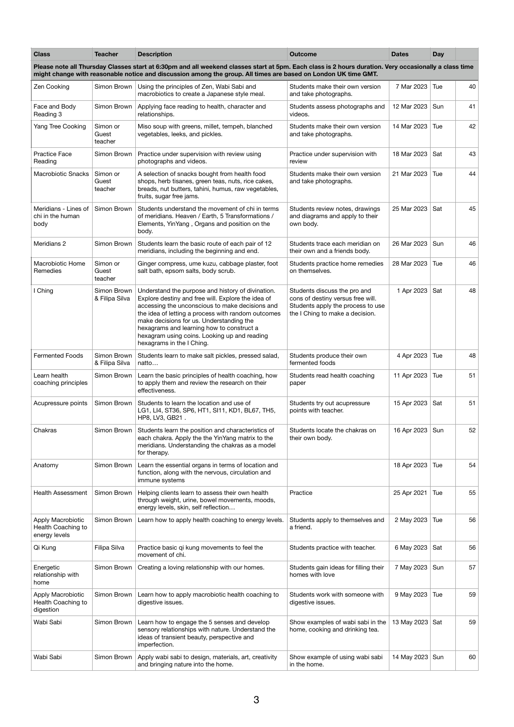| <b>Class</b>                                                                                                                                                                                                                                                            | <b>Teacher</b>                | <b>Description</b>                                                                                                                                                                                                                                                                                                                                                                     | <b>Outcome</b>                                                                                                                            | <b>Dates</b>    | <b>Day</b> |    |  |
|-------------------------------------------------------------------------------------------------------------------------------------------------------------------------------------------------------------------------------------------------------------------------|-------------------------------|----------------------------------------------------------------------------------------------------------------------------------------------------------------------------------------------------------------------------------------------------------------------------------------------------------------------------------------------------------------------------------------|-------------------------------------------------------------------------------------------------------------------------------------------|-----------------|------------|----|--|
| Please note all Thursday Classes start at 6:30pm and all weekend classes start at 5pm. Each class is 2 hours duration. Very occasionally a class time<br>might change with reasonable notice and discussion among the group. All times are based on London UK time GMT. |                               |                                                                                                                                                                                                                                                                                                                                                                                        |                                                                                                                                           |                 |            |    |  |
| Zen Cooking                                                                                                                                                                                                                                                             | Simon Brown                   | Using the principles of Zen, Wabi Sabi and<br>macrobiotics to create a Japanese style meal.                                                                                                                                                                                                                                                                                            | Students make their own version<br>and take photographs.                                                                                  | 7 Mar 2023      | Tue        | 40 |  |
| Face and Body<br>Reading 3                                                                                                                                                                                                                                              | Simon Brown                   | Applying face reading to health, character and<br>relationships.                                                                                                                                                                                                                                                                                                                       | Students assess photographs and<br>videos.                                                                                                | 12 Mar 2023     | Sun        | 41 |  |
| Yang Tree Cooking                                                                                                                                                                                                                                                       | Simon or<br>Guest<br>teacher  | Miso soup with greens, millet, tempeh, blanched<br>vegetables, leeks, and pickles.                                                                                                                                                                                                                                                                                                     | Students make their own version<br>and take photographs.                                                                                  | 14 Mar 2023     | Tue        | 42 |  |
| <b>Practice Face</b><br>Reading                                                                                                                                                                                                                                         | Simon Brown                   | Practice under supervision with review using<br>photographs and videos.                                                                                                                                                                                                                                                                                                                | Practice under supervision with<br>review                                                                                                 | 18 Mar 2023     | Sat        | 43 |  |
| <b>Macrobiotic Snacks</b>                                                                                                                                                                                                                                               | Simon or<br>Guest<br>teacher  | A selection of snacks bought from health food<br>shops, herb tisanes, green teas, nuts, rice cakes,<br>breads, nut butters, tahini, humus, raw vegetables,<br>fruits, sugar free jams.                                                                                                                                                                                                 | Students make their own version<br>and take photographs.                                                                                  | 21 Mar 2023     | Tue        | 44 |  |
| Meridians - Lines of<br>chi in the human<br>body                                                                                                                                                                                                                        | Simon Brown                   | Students understand the movement of chi in terms<br>of meridians. Heaven / Earth, 5 Transformations /<br>Elements, YinYang, Organs and position on the<br>body.                                                                                                                                                                                                                        | Students review notes, drawings<br>and diagrams and apply to their<br>own body.                                                           | 25 Mar 2023     | Sat        | 45 |  |
| Meridians <sub>2</sub>                                                                                                                                                                                                                                                  | Simon Brown                   | Students learn the basic route of each pair of 12<br>meridians, including the beginning and end.                                                                                                                                                                                                                                                                                       | Students trace each meridian on<br>their own and a friends body.                                                                          | 26 Mar 2023     | Sun        | 46 |  |
| Macrobiotic Home<br>Remedies                                                                                                                                                                                                                                            | Simon or<br>Guest<br>teacher  | Ginger compress, ume kuzu, cabbage plaster, foot<br>salt bath, epsom salts, body scrub.                                                                                                                                                                                                                                                                                                | Students practice home remedies<br>on themselves.                                                                                         | 28 Mar 2023     | Tue        | 46 |  |
| I Ching                                                                                                                                                                                                                                                                 | Simon Brown<br>& Filipa Silva | Understand the purpose and history of divination.<br>Explore destiny and free will. Explore the idea of<br>accessing the unconscious to make decisions and<br>the idea of letting a process with random outcomes<br>make decisions for us. Understanding the<br>hexagrams and learning how to construct a<br>hexagram using coins. Looking up and reading<br>hexagrams in the I Ching. | Students discuss the pro and<br>cons of destiny versus free will.<br>Students apply the process to use<br>the I Ching to make a decision. | 1 Apr 2023      | Sat        | 48 |  |
| <b>Fermented Foods</b>                                                                                                                                                                                                                                                  | Simon Brown<br>& Filipa Silva | Students learn to make salt pickles, pressed salad,<br>natto                                                                                                                                                                                                                                                                                                                           | Students produce their own<br>fermented foods                                                                                             | 4 Apr 2023      | Tue        | 48 |  |
| Learn health<br>coaching principles                                                                                                                                                                                                                                     | Simon Brown                   | Learn the basic principles of health coaching, how<br>to apply them and review the research on their<br>effectiveness.                                                                                                                                                                                                                                                                 | Students read health coaching<br>paper                                                                                                    | 11 Apr 2023     | Tue        | 51 |  |
| Acupressure points                                                                                                                                                                                                                                                      | Simon Brown                   | Students to learn the location and use of<br>LG1, LI4, ST36, SP6, HT1, SI11, KD1, BL67, TH5,<br>HP8, LV3, GB21.                                                                                                                                                                                                                                                                        | Students try out acupressure<br>points with teacher.                                                                                      | 15 Apr 2023     | Sat        | 51 |  |
| Chakras                                                                                                                                                                                                                                                                 | Simon Brown                   | Students learn the position and characteristics of<br>each chakra. Apply the the YinYang matrix to the<br>meridians. Understanding the chakras as a model<br>for therapy.                                                                                                                                                                                                              | Students locate the chakras on<br>their own body.                                                                                         | 16 Apr 2023     | Sun        | 52 |  |
| Anatomy                                                                                                                                                                                                                                                                 | Simon Brown                   | Learn the essential organs in terms of location and<br>function, along with the nervous, circulation and<br>immune systems                                                                                                                                                                                                                                                             |                                                                                                                                           | 18 Apr 2023     | Tue        | 54 |  |
| Health Assessment                                                                                                                                                                                                                                                       | Simon Brown                   | Helping clients learn to assess their own health<br>through weight, urine, bowel movements, moods,<br>energy levels, skin, self reflection                                                                                                                                                                                                                                             | Practice                                                                                                                                  | 25 Apr 2021     | Tue        | 55 |  |
| Apply Macrobiotic<br>Health Coaching to<br>energy levels                                                                                                                                                                                                                | Simon Brown                   | Learn how to apply health coaching to energy levels.                                                                                                                                                                                                                                                                                                                                   | Students apply to themselves and<br>a friend.                                                                                             | 2 May 2023      | Tue        | 56 |  |
| Qi Kung                                                                                                                                                                                                                                                                 | Filipa Silva                  | Practice basic qi kung movements to feel the<br>movement of chi.                                                                                                                                                                                                                                                                                                                       | Students practice with teacher.                                                                                                           | 6 May 2023      | Sat        | 56 |  |
| Energetic<br>relationship with<br>home                                                                                                                                                                                                                                  | Simon Brown                   | Creating a loving relationship with our homes.                                                                                                                                                                                                                                                                                                                                         | Students gain ideas for filling their<br>homes with love                                                                                  | 7 May 2023      | Sun        | 57 |  |
| Apply Macrobiotic<br>Health Coaching to<br>digestion                                                                                                                                                                                                                    | Simon Brown                   | Learn how to apply macrobiotic health coaching to<br>digestive issues.                                                                                                                                                                                                                                                                                                                 | Students work with someone with<br>digestive issues.                                                                                      | 9 May 2023      | Tue        | 59 |  |
| Wabi Sabi                                                                                                                                                                                                                                                               | Simon Brown                   | Learn how to engage the 5 senses and develop<br>sensory relationships with nature. Understand the<br>ideas of transient beauty, perspective and<br>imperfection.                                                                                                                                                                                                                       | Show examples of wabi sabi in the<br>home, cooking and drinking tea.                                                                      | 13 May 2023 Sat |            | 59 |  |
| Wabi Sabi                                                                                                                                                                                                                                                               | Simon Brown                   | Apply wabi sabi to design, materials, art, creativity<br>and bringing nature into the home.                                                                                                                                                                                                                                                                                            | Show example of using wabi sabi<br>in the home.                                                                                           | 14 May 2023 Sun |            | 60 |  |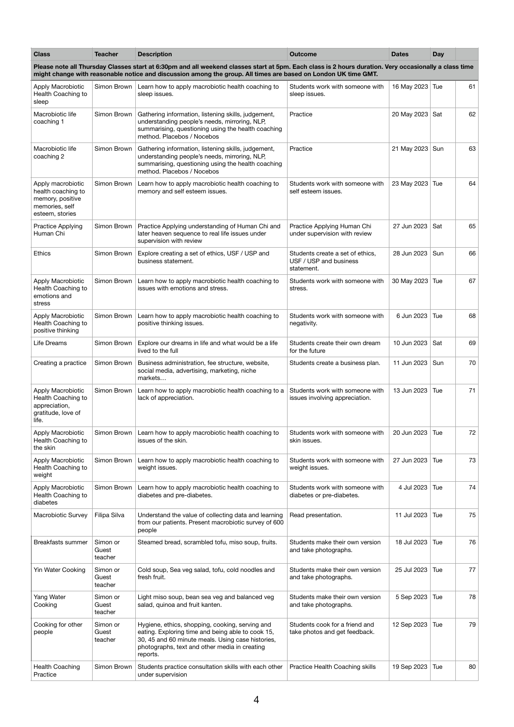| <b>Class</b>                                                                                                                                                                                                                                                            | <b>Teacher</b>               | <b>Description</b>                                                                                                                                                                                                     | <b>Outcome</b>                                                           | <b>Dates</b>     | <b>Day</b> |    |  |  |
|-------------------------------------------------------------------------------------------------------------------------------------------------------------------------------------------------------------------------------------------------------------------------|------------------------------|------------------------------------------------------------------------------------------------------------------------------------------------------------------------------------------------------------------------|--------------------------------------------------------------------------|------------------|------------|----|--|--|
| Please note all Thursday Classes start at 6:30pm and all weekend classes start at 5pm. Each class is 2 hours duration. Very occasionally a class time<br>might change with reasonable notice and discussion among the group. All times are based on London UK time GMT. |                              |                                                                                                                                                                                                                        |                                                                          |                  |            |    |  |  |
| Apply Macrobiotic<br>Health Coaching to<br>sleep                                                                                                                                                                                                                        | Simon Brown                  | Learn how to apply macrobiotic health coaching to<br>sleep issues.                                                                                                                                                     | Students work with someone with<br>sleep issues.                         | 16 May 2023 Tue  |            | 61 |  |  |
| Macrobiotic life<br>coaching 1                                                                                                                                                                                                                                          | Simon Brown                  | Gathering information, listening skills, judgement,<br>understanding people's needs, mirroring, NLP,<br>summarising, questioning using the health coaching<br>method. Placebos / Nocebos                               | Practice                                                                 | 20 May 2023 Sat  |            | 62 |  |  |
| Macrobiotic life<br>coaching 2                                                                                                                                                                                                                                          | Simon Brown                  | Gathering information, listening skills, judgement,<br>understanding people's needs, mirroring, NLP,<br>summarising, questioning using the health coaching<br>method. Placebos / Nocebos                               | Practice                                                                 | 21 May 2023 Sun  |            | 63 |  |  |
| Apply macrobiotic<br>health coaching to<br>memory, positive<br>memories, self<br>esteem, stories                                                                                                                                                                        | Simon Brown                  | Learn how to apply macrobiotic health coaching to<br>memory and self esteem issues.                                                                                                                                    | Students work with someone with<br>self esteem issues.                   | 23 May 2023 Tue  |            | 64 |  |  |
| <b>Practice Applying</b><br>Human Chi                                                                                                                                                                                                                                   | Simon Brown                  | Practice Applying understanding of Human Chi and<br>later heaven sequence to real life issues under<br>supervision with review                                                                                         | Practice Applying Human Chi<br>under supervision with review             | 27 Jun 2023      | Sat        | 65 |  |  |
| <b>Ethics</b>                                                                                                                                                                                                                                                           | Simon Brown                  | Explore creating a set of ethics, USF / USP and<br>business statement.                                                                                                                                                 | Students create a set of ethics,<br>USF / USP and business<br>statement. | 28 Jun 2023      | Sun        | 66 |  |  |
| Apply Macrobiotic<br>Health Coaching to<br>emotions and<br>stress                                                                                                                                                                                                       | Simon Brown                  | Learn how to apply macrobiotic health coaching to<br>issues with emotions and stress.                                                                                                                                  | Students work with someone with<br>stress.                               | 30 May 2023 Tue  |            | 67 |  |  |
| Apply Macrobiotic<br>Health Coaching to<br>positive thinking                                                                                                                                                                                                            | Simon Brown                  | Learn how to apply macrobiotic health coaching to<br>positive thinking issues.                                                                                                                                         | Students work with someone with<br>negativity.                           | 6 Jun 2023       | Tue        | 68 |  |  |
| Life Dreams                                                                                                                                                                                                                                                             | Simon Brown                  | Explore our dreams in life and what would be a life<br>lived to the full                                                                                                                                               | Students create their own dream<br>for the future                        | 10 Jun 2023      | Sat        | 69 |  |  |
| Creating a practice                                                                                                                                                                                                                                                     | Simon Brown                  | Business administration, fee structure, website,<br>social media, advertising, marketing, niche<br>markets                                                                                                             | Students create a business plan.                                         | 11 Jun 2023      | Sun        | 70 |  |  |
| Apply Macrobiotic<br>Health Coaching to<br>appreciation,<br>gratitude, love of<br>life.                                                                                                                                                                                 | Simon Brown                  | Learn how to apply macrobiotic health coaching to a<br>lack of appreciation.                                                                                                                                           | Students work with someone with<br>issues involving appreciation.        | 13 Jun 2023      | Tue        | 71 |  |  |
| Apply Macrobiotic<br>Health Coaching to<br>the skin                                                                                                                                                                                                                     | Simon Brown                  | Learn how to apply macrobiotic health coaching to<br>issues of the skin.                                                                                                                                               | Students work with someone with<br>skin issues.                          | 20 Jun 2023      | Tue        | 72 |  |  |
| Apply Macrobiotic<br>Health Coaching to<br>weight                                                                                                                                                                                                                       | Simon Brown                  | Learn how to apply macrobiotic health coaching to<br>weight issues.                                                                                                                                                    | Students work with someone with<br>weight issues.                        | 27 Jun 2023      | Tue        | 73 |  |  |
| Apply Macrobiotic<br>Health Coaching to<br>diabetes                                                                                                                                                                                                                     | Simon Brown                  | Learn how to apply macrobiotic health coaching to<br>diabetes and pre-diabetes.                                                                                                                                        | Students work with someone with<br>diabetes or pre-diabetes.             | 4 Jul 2023       | Tue        | 74 |  |  |
| Macrobiotic Survey                                                                                                                                                                                                                                                      | Filipa Silva                 | Understand the value of collecting data and learning<br>from our patients. Present macrobiotic survey of 600<br>people                                                                                                 | Read presentation.                                                       | 11 Jul 2023      | Tue        | 75 |  |  |
| Breakfasts summer                                                                                                                                                                                                                                                       | Simon or<br>Guest<br>teacher | Steamed bread, scrambled tofu, miso soup, fruits.                                                                                                                                                                      | Students make their own version<br>and take photographs.                 | 18 Jul 2023      | Tue        | 76 |  |  |
| Yin Water Cooking                                                                                                                                                                                                                                                       | Simon or<br>Guest<br>teacher | Cold soup, Sea veg salad, tofu, cold noodles and<br>fresh fruit.                                                                                                                                                       | Students make their own version<br>and take photographs.                 | 25 Jul 2023      | Tue        | 77 |  |  |
| Yang Water<br>Cooking                                                                                                                                                                                                                                                   | Simon or<br>Guest<br>teacher | Light miso soup, bean sea veg and balanced veg<br>salad, quinoa and fruit kanten.                                                                                                                                      | Students make their own version<br>and take photographs.                 | 5 Sep 2023   Tue |            | 78 |  |  |
| Cooking for other<br>people                                                                                                                                                                                                                                             | Simon or<br>Guest<br>teacher | Hygiene, ethics, shopping, cooking, serving and<br>eating. Exploring time and being able to cook 15,<br>30, 45 and 60 minute meals. Using case histories,<br>photographs, text and other media in creating<br>reports. | Students cook for a friend and<br>take photos and get feedback.          | 12 Sep 2023      | Tue        | 79 |  |  |
| <b>Health Coaching</b><br>Practice                                                                                                                                                                                                                                      | Simon Brown                  | Students practice consultation skills with each other<br>under supervision                                                                                                                                             | Practice Health Coaching skills                                          | 19 Sep 2023      | Tue        | 80 |  |  |

4